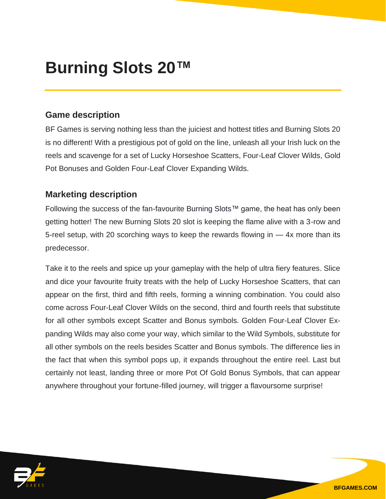## **Burning Slots 20™**

## **Game description**

BF Games is serving nothing less than the juiciest and hottest titles and Burning Slots 20 is no different! With a prestigious pot of gold on the line, unleash all your Irish luck on the reels and scavenge for a set of Lucky Horseshoe Scatters, Four-Leaf Clover Wilds, Gold Pot Bonuses and Golden Four-Leaf Clover Expanding Wilds.

## **Marketing description**

Following the success of the fan-favourite Burning Slots™ game, the heat has only been getting hotter! The new Burning Slots 20 slot is keeping the flame alive with a 3-row and 5-reel setup, with 20 scorching ways to keep the rewards flowing in — 4x more than its predecessor.

Take it to the reels and spice up your gameplay with the help of ultra fiery features. Slice and dice your favourite fruity treats with the help of Lucky Horseshoe Scatters, that can appear on the first, third and fifth reels, forming a winning combination. You could also come across Four-Leaf Clover Wilds on the second, third and fourth reels that substitute for all other symbols except Scatter and Bonus symbols. Golden Four-Leaf Clover Expanding Wilds may also come your way, which similar to the Wild Symbols, substitute for all other symbols on the reels besides Scatter and Bonus symbols. The difference lies in the fact that when this symbol pops up, it expands throughout the entire reel. Last but certainly not least, landing three or more Pot Of Gold Bonus Symbols, that can appear anywhere throughout your fortune-filled journey, will trigger a flavoursome surprise!